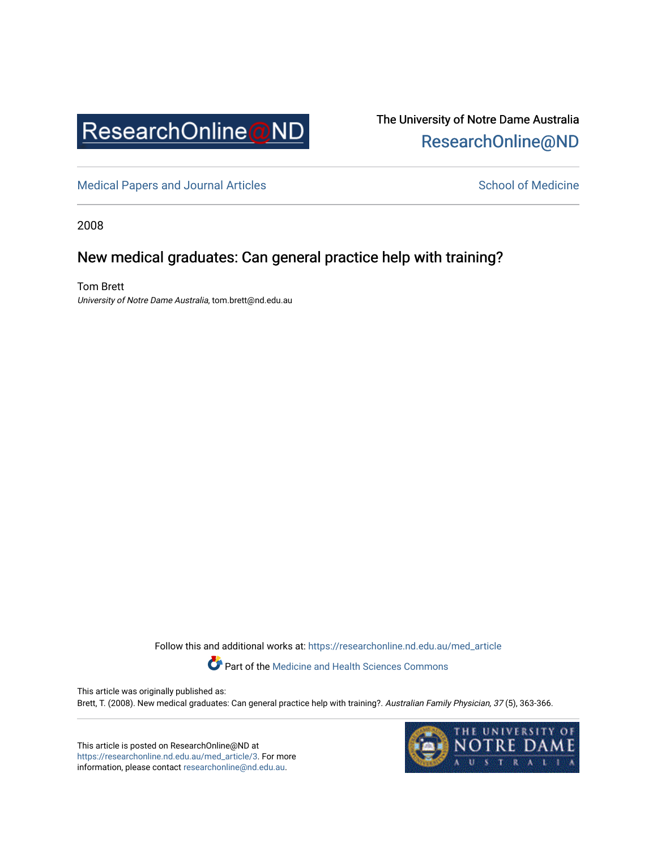

The University of Notre Dame Australia [ResearchOnline@ND](https://researchonline.nd.edu.au/) 

[Medical Papers and Journal Articles](https://researchonline.nd.edu.au/med_article) and School of Medicine

2008

# New medical graduates: Can general practice help with training?

Tom Brett University of Notre Dame Australia, tom.brett@nd.edu.au

Follow this and additional works at: [https://researchonline.nd.edu.au/med\\_article](https://researchonline.nd.edu.au/med_article?utm_source=researchonline.nd.edu.au%2Fmed_article%2F3&utm_medium=PDF&utm_campaign=PDFCoverPages) 

Part of the [Medicine and Health Sciences Commons](http://network.bepress.com/hgg/discipline/648?utm_source=researchonline.nd.edu.au%2Fmed_article%2F3&utm_medium=PDF&utm_campaign=PDFCoverPages)

This article was originally published as: Brett, T. (2008). New medical graduates: Can general practice help with training?. Australian Family Physician, 37 (5), 363-366.

This article is posted on ResearchOnline@ND at [https://researchonline.nd.edu.au/med\\_article/3](https://researchonline.nd.edu.au/med_article/3). For more information, please contact [researchonline@nd.edu.au.](mailto:researchonline@nd.edu.au)

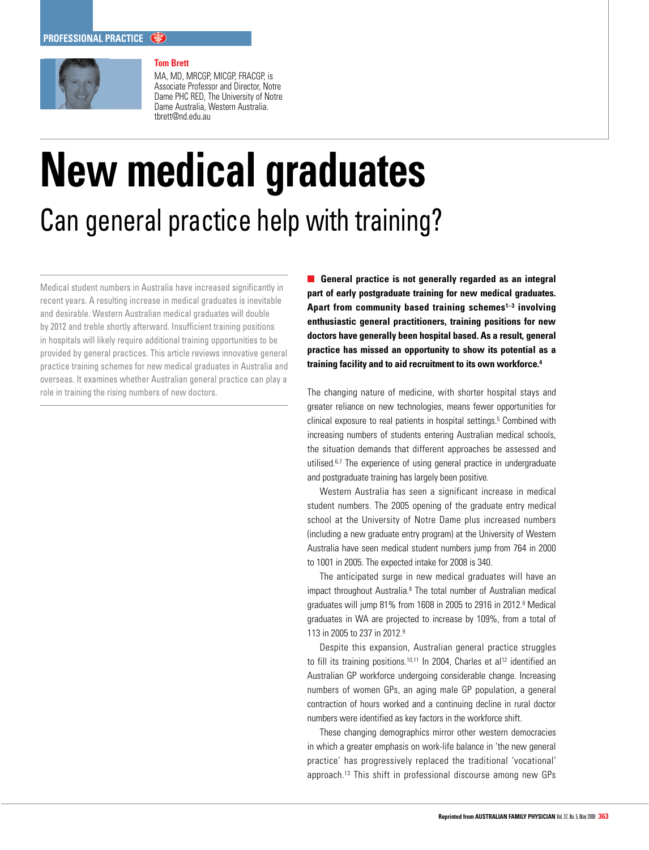

# **Tom Brett**

MA, MD, MRCGP, MICGP, FRACGP, is Associate Professor and Director, Notre Dame PHC RED, The University of Notre Dame Australia, Western Australia. tbrett@nd.edu.au

# **New medical graduates** Can general practice help with training?

Medical student numbers in Australia have increased significantly in recent years. A resulting increase in medical graduates is inevitable and desirable. Western Australian medical graduates will double by 2012 and treble shortly afterward. Insufficient training positions in hospitals will likely require additional training opportunities to be provided by general practices. This article reviews innovative general practice training schemes for new medical graduates in Australia and overseas. It examines whether Australian general practice can play a role in training the rising numbers of new doctors.

**General practice is not generally regarded as an integral part of early postgraduate training for new medical graduates. Apart from community based training schemes1–3 involving enthusiastic general practitioners, training positions for new doctors have generally been hospital based. As a result, general practice has missed an opportunity to show its potential as a training facility and to aid recruitment to its own workforce.4**

The changing nature of medicine, with shorter hospital stays and greater reliance on new technologies, means fewer opportunities for clinical exposure to real patients in hospital settings.<sup>5</sup> Combined with increasing numbers of students entering Australian medical schools, the situation demands that different approaches be assessed and utilised.<sup>6,7</sup> The experience of using general practice in undergraduate and postgraduate training has largely been positive.

Western Australia has seen a significant increase in medical student numbers. The 2005 opening of the graduate entry medical school at the University of Notre Dame plus increased numbers (including a new graduate entry program) at the University of Western Australia have seen medical student numbers jump from 764 in 2000 to 1001 in 2005. The expected intake for 2008 is 340.

The anticipated surge in new medical graduates will have an impact throughout Australia.8 The total number of Australian medical graduates will jump 81% from 1608 in 2005 to 2916 in 2012.9 Medical graduates in WA are projected to increase by 109%, from a total of 113 in 2005 to 237 in 2012.9

Despite this expansion, Australian general practice struggles to fill its training positions.<sup>10,11</sup> In 2004, Charles et al<sup>12</sup> identified an Australian GP workforce undergoing considerable change. Increasing numbers of women GPs, an aging male GP population, a general contraction of hours worked and a continuing decline in rural doctor numbers were identified as key factors in the workforce shift.

These changing demographics mirror other western democracies in which a greater emphasis on work-life balance in 'the new general practice' has progressively replaced the traditional 'vocational' approach.13 This shift in professional discourse among new GPs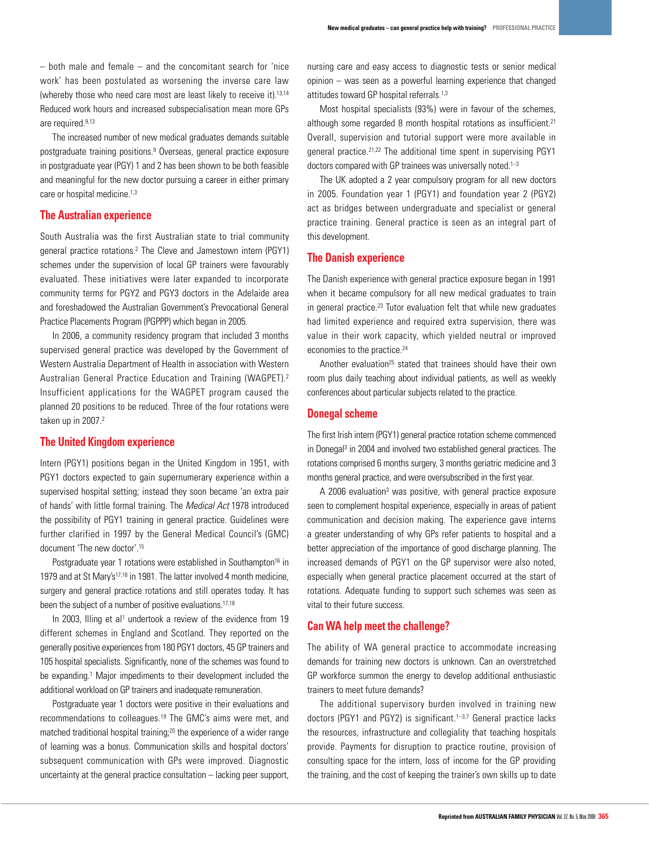– both male and female – and the concomitant search for 'nice work' has been postulated as worsening the inverse care law (whereby those who need care most are least likely to receive it).13,14 Reduced work hours and increased subspecialisation mean more GPs are required.<sup>9,13</sup>

The increased number of new medical graduates demands suitable postgraduate training positions.<sup>9</sup> Overseas, general practice exposure in postgraduate year (PGY) 1 and 2 has been shown to be both feasible and meaningful for the new doctor pursuing a career in either primary care or hospital medicine.<sup>1,3</sup>

# **The Australian experience**

South Australia was the first Australian state to trial community general practice rotations.2 The Cleve and Jamestown intern (PGY1) schemes under the supervision of local GP trainers were favourably evaluated. These initiatives were later expanded to incorporate community terms for PGY2 and PGY3 doctors in the Adelaide area and foreshadowed the Australian Government's Prevocational General Practice Placements Program (PGPPP) which began in 2005.

In 2006, a community residency program that included 3 months supervised general practice was developed by the Government of Western Australia Department of Health in association with Western Australian General Practice Education and Training (WAGPET).2 Insufficient applications for the WAGPET program caused the planned 20 positions to be reduced. Three of the four rotations were taken up in 2007.<sup>2</sup>

# **The United Kingdom experience**

Intern (PGY1) positions began in the United Kingdom in 1951, with PGY1 doctors expected to gain supernumerary experience within a supervised hospital setting; instead they soon became 'an extra pair of hands' with little formal training. The Medical Act 1978 introduced the possibility of PGY1 training in general practice. Guidelines were further clarified in 1997 by the General Medical Council's (GMC) document 'The new doctor'.15

Postgraduate year 1 rotations were established in Southampton<sup>16</sup> in 1979 and at St Mary's<sup>17,18</sup> in 1981. The latter involved 4 month medicine, surgery and general practice rotations and still operates today. It has been the subject of a number of positive evaluations.<sup>17,18</sup>

In 2003, Illing et al<sup>1</sup> undertook a review of the evidence from 19 different schemes in England and Scotland. They reported on the generally positive experiences from 180 PGY1 doctors, 45 GP trainers and 105 hospital specialists. Significantly, none of the schemes was found to be expanding.<sup>1</sup> Major impediments to their development included the additional workload on GP trainers and inadequate remuneration.

Postgraduate year 1 doctors were positive in their evaluations and recommendations to colleagues.19 The GMC's aims were met, and matched traditional hospital training;20 the experience of a wider range of learning was a bonus. Communication skills and hospital doctors' subsequent communication with GPs were improved. Diagnostic uncertainty at the general practice consultation – lacking peer support,

nursing care and easy access to diagnostic tests or senior medical opinion – was seen as a powerful learning experience that changed attitudes toward GP hospital referrals.<sup>1,3</sup>

Most hospital specialists (93%) were in favour of the schemes, although some regarded 8 month hospital rotations as insufficient.<sup>21</sup> Overall, supervision and tutorial support were more available in general practice.21,22 The additional time spent in supervising PGY1 doctors compared with GP trainees was universally noted.<sup>1-3</sup>

The UK adopted a 2 year compulsory program for all new doctors in 2005. Foundation year 1 (PGY1) and foundation year 2 (PGY2) act as bridges between undergraduate and specialist or general practice training. General practice is seen as an integral part of this development.

#### **The Danish experience**

The Danish experience with general practice exposure began in 1991 when it became compulsory for all new medical graduates to train in general practice.<sup>23</sup> Tutor evaluation felt that while new graduates had limited experience and required extra supervision, there was value in their work capacity, which yielded neutral or improved economies to the practice.<sup>24</sup>

Another evaluation<sup>25</sup> stated that trainees should have their own room plus daily teaching about individual patients, as well as weekly conferences about particular subjects related to the practice.

# **Donegal scheme**

The first Irish intern (PGY1) general practice rotation scheme commenced in Donegal<sup>3</sup> in 2004 and involved two established general practices. The rotations comprised 6 months surgery, 3 months geriatric medicine and 3 months general practice, and were oversubscribed in the first year.

A 2006 evaluation<sup>3</sup> was positive, with general practice exposure seen to complement hospital experience, especially in areas of patient communication and decision making. The experience gave interns a greater understanding of why GPs refer patients to hospital and a better appreciation of the importance of good discharge planning. The increased demands of PGY1 on the GP supervisor were also noted, especially when general practice placement occurred at the start of rotations. Adequate funding to support such schemes was seen as vital to their future success.

### **Can WA help meet the challenge?**

The ability of WA general practice to accommodate increasing demands for training new doctors is unknown. Can an overstretched GP workforce summon the energy to develop additional enthusiastic trainers to meet future demands?

The additional supervisory burden involved in training new doctors (PGY1 and PGY2) is significant.<sup>1-3,7</sup> General practice lacks the resources, infrastructure and collegiality that teaching hospitals provide. Payments for disruption to practice routine, provision of consulting space for the intern, loss of income for the GP providing the training, and the cost of keeping the trainer's own skills up to date